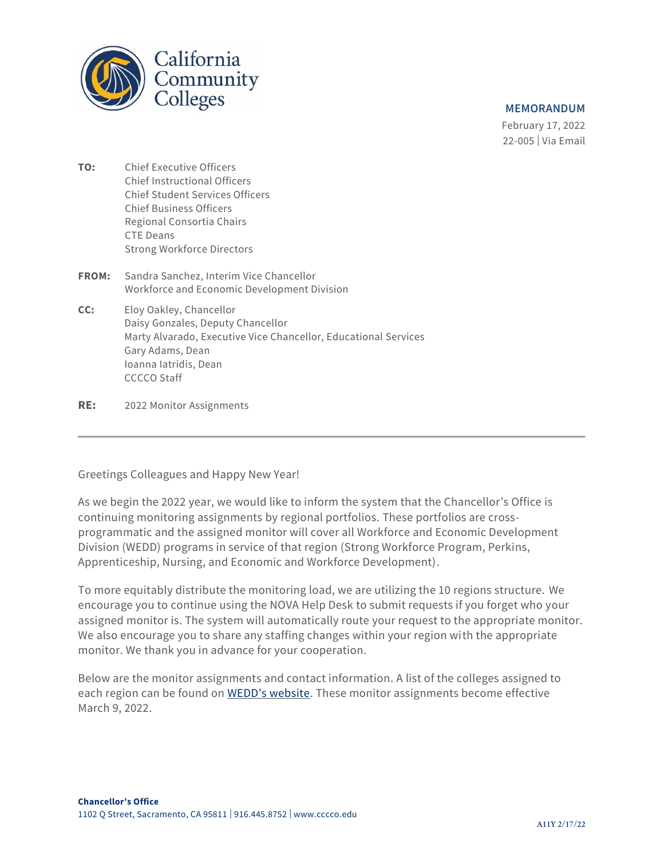

## **MEMORANDUM**

February 17, 2022 22-005 | Via Email

- **TO:** Chief Executive Officers Chief Instructional Officers Chief Student Services Officers Chief Business Officers Regional Consortia Chairs CTE Deans Strong Workforce Directors
- **FROM:** Sandra Sanchez, Interim Vice Chancellor Workforce and Economic Development Division
- **CC:** Eloy Oakley, Chancellor Daisy Gonzales, Deputy Chancellor Marty Alvarado, Executive Vice Chancellor, Educational Services Gary Adams, Dean Ioanna Iatridis, Dean CCCCO Staff
- **RE:** 2022 Monitor Assignments

Greetings Colleagues and Happy New Year!

As we begin the 2022 year, we would like to inform the system that the Chancellor's Office is continuing monitoring assignments by regional portfolios. These portfolios are crossprogrammatic and the assigned monitor will cover all Workforce and Economic Development Division (WEDD) programs in service of that region (Strong Workforce Program, Perkins, Apprenticeship, Nursing, and Economic and Workforce Development).

To more equitably distribute the monitoring load, we are utilizing the 10 regions structure. We encourage you to continue using the NOVA Help Desk to submit requests if you forget who your assigned monitor is. The system will automatically route your request to the appropriate monitor. We also encourage you to share any staffing changes within your region with the appropriate monitor. We thank you in advance for your cooperation.

Below are the monitor assignments and contact information. A list of the colleges assigned to each region can be found on [WEDD's website](https://www.cccco.edu/About-Us/Chancellors-Office/Divisions/Workforce-and-Economic-Development). These monitor assignments become effective March 9, 2022.